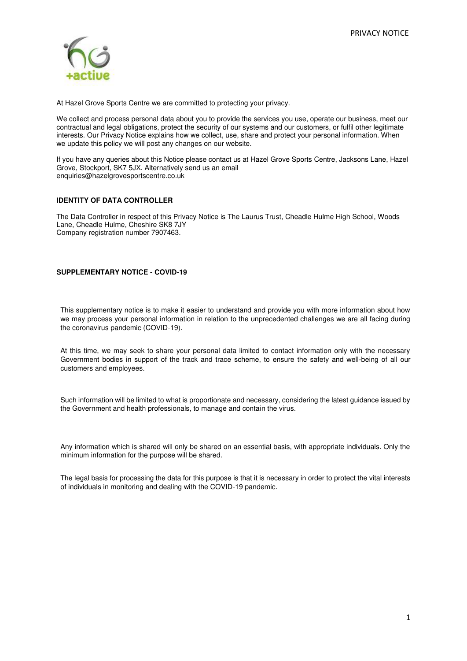

At Hazel Grove Sports Centre we are committed to protecting your privacy.

We collect and process personal data about you to provide the services you use, operate our business, meet our contractual and legal obligations, protect the security of our systems and our customers, or fulfil other legitimate interests. Our Privacy Notice explains how we collect, use, share and protect your personal information. When we update this policy we will post any changes on our website.

If you have any queries about this Notice please contact us at Hazel Grove Sports Centre, Jacksons Lane, Hazel Grove, Stockport, SK7 5JX. Alternatively send us an email enquiries@hazelgrovesportscentre.co.uk

# **IDENTITY OF DATA CONTROLLER**

The Data Controller in respect of this Privacy Notice is The Laurus Trust, Cheadle Hulme High School, Woods Lane, Cheadle Hulme, Cheshire SK8 7JY Company registration number 7907463.

# **SUPPLEMENTARY NOTICE - COVID-19**

This supplementary notice is to make it easier to understand and provide you with more information about how we may process your personal information in relation to the unprecedented challenges we are all facing during the coronavirus pandemic (COVID-19).

At this time, we may seek to share your personal data limited to contact information only with the necessary Government bodies in support of the track and trace scheme, to ensure the safety and well-being of all our customers and employees.

Such information will be limited to what is proportionate and necessary, considering the latest guidance issued by the Government and health professionals, to manage and contain the virus.

Any information which is shared will only be shared on an essential basis, with appropriate individuals. Only the minimum information for the purpose will be shared.

The legal basis for processing the data for this purpose is that it is necessary in order to protect the vital interests of individuals in monitoring and dealing with the COVID-19 pandemic.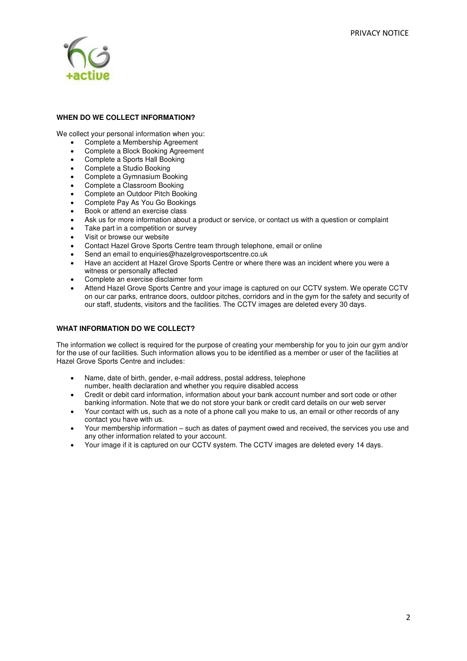

# **WHEN DO WE COLLECT INFORMATION?**

We collect your personal information when you:

- Complete a Membership Agreement
- Complete a Block Booking Agreement
- Complete a Sports Hall Booking
- Complete a Studio Booking
- Complete a Gymnasium Booking
- Complete a Classroom Booking
- Complete an Outdoor Pitch Booking
- Complete Pay As You Go Bookings
- Book or attend an exercise class
- Ask us for more information about a product or service, or contact us with a question or complaint
- Take part in a competition or survey
- Visit or browse our website
- Contact Hazel Grove Sports Centre team through telephone, email or online
- Send an email to enquiries@hazelgrovesportscentre.co.uk
- Have an accident at Hazel Grove Sports Centre or where there was an incident where you were a witness or personally affected
- Complete an exercise disclaimer form
- Attend Hazel Grove Sports Centre and your image is captured on our CCTV system. We operate CCTV on our car parks, entrance doors, outdoor pitches, corridors and in the gym for the safety and security of our staff, students, visitors and the facilities. The CCTV images are deleted every 30 days.

### **WHAT INFORMATION DO WE COLLECT?**

The information we collect is required for the purpose of creating your membership for you to join our gym and/or for the use of our facilities. Such information allows you to be identified as a member or user of the facilities at Hazel Grove Sports Centre and includes:

- Name, date of birth, gender, e-mail address, postal address, telephone number, health declaration and whether you require disabled access
- Credit or debit card information, information about your bank account number and sort code or other banking information. Note that we do not store your bank or credit card details on our web server
- Your contact with us, such as a note of a phone call you make to us, an email or other records of any contact you have with us.
- Your membership information such as dates of payment owed and received, the services you use and any other information related to your account.
- Your image if it is captured on our CCTV system. The CCTV images are deleted every 14 days.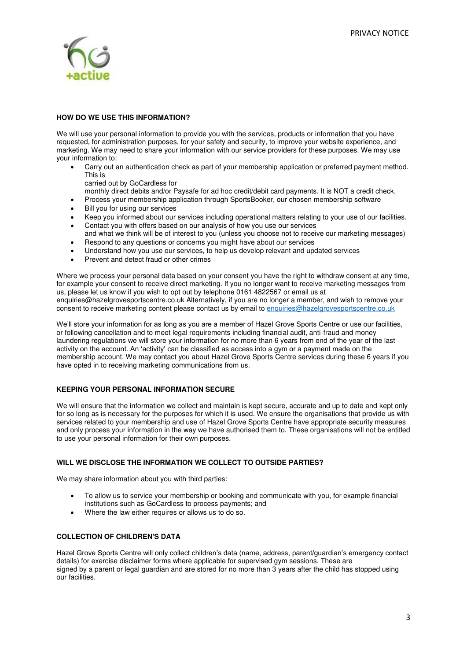

# **HOW DO WE USE THIS INFORMATION?**

We will use your personal information to provide you with the services, products or information that you have requested, for administration purposes, for your safety and security, to improve your website experience, and marketing. We may need to share your information with our service providers for these purposes. We may use your information to:

• Carry out an authentication check as part of your membership application or preferred payment method. This is

carried out by GoCardless for

monthly direct debits and/or Paysafe for ad hoc credit/debit card payments. It is NOT a credit check.

- Process your membership application through SportsBooker, our chosen membership software
- Bill you for using our services
- Keep you informed about our services including operational matters relating to your use of our facilities.
- Contact you with offers based on our analysis of how you use our services and what we think will be of interest to you (unless you choose not to receive our marketing messages)
- Respond to any questions or concerns you might have about our services
- Understand how you use our services, to help us develop relevant and updated services
- Prevent and detect fraud or other crimes

Where we process your personal data based on your consent you have the right to withdraw consent at any time, for example your consent to receive direct marketing. If you no longer want to receive marketing messages from us, please let us know if you wish to opt out by telephone 0161 4822567 or email us at enquiries@hazelgrovesportscentre.co.uk Alternatively, if you are no longer a member, and wish to remove your consent to receive marketing content please contact us by email to [enquiries@hazelgrovesportscentre.co.uk](mailto:enquiries@hazelgrovesportscentre.co.uk) 

We'll store your information for as long as you are a member of Hazel Grove Sports Centre or use our facilities, or following cancellation and to meet legal requirements including financial audit, anti-fraud and money laundering regulations we will store your information for no more than 6 years from end of the year of the last activity on the account. An 'activity' can be classified as access into a gym or a payment made on the membership account. We may contact you about Hazel Grove Sports Centre services during these 6 years if you have opted in to receiving marketing communications from us.

# **KEEPING YOUR PERSONAL INFORMATION SECURE**

We will ensure that the information we collect and maintain is kept secure, accurate and up to date and kept only for so long as is necessary for the purposes for which it is used. We ensure the organisations that provide us with services related to your membership and use of Hazel Grove Sports Centre have appropriate security measures and only process your information in the way we have authorised them to. These organisations will not be entitled to use your personal information for their own purposes.

# **WILL WE DISCLOSE THE INFORMATION WE COLLECT TO OUTSIDE PARTIES?**

We may share information about you with third parties:

- To allow us to service your membership or booking and communicate with you, for example financial institutions such as GoCardless to process payments; and
- Where the law either requires or allows us to do so.

# **COLLECTION OF CHILDREN'S DATA**

Hazel Grove Sports Centre will only collect children's data (name, address, parent/guardian's emergency contact details) for exercise disclaimer forms where applicable for supervised gym sessions. These are signed by a parent or legal guardian and are stored for no more than 3 years after the child has stopped using our facilities.